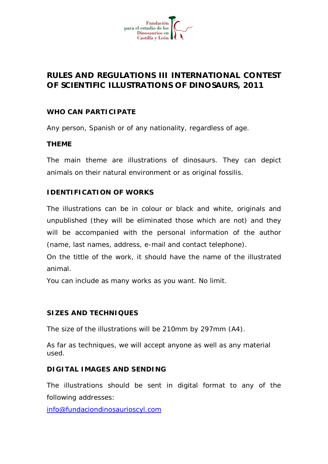

# **RULES AND REGULATIONS III INTERNATIONAL CONTEST OF SCIENTIFIC ILLUSTRATIONS OF DINOSAURS, 2011**

## **WHO CAN PARTICIPATE**

Any person, Spanish or of any nationality, regardless of age.

#### **THEME**

The main theme are illustrations of dinosaurs. They can depict animals on their natural environment or as original fossilis.

### **IDENTIFICATION OF WORKS**

The illustrations can be in colour or black and white, originals and unpublished (they will be eliminated those which are not) and they will be accompanied with the personal information of the author (name, last names, address, e-mail and contact telephone).

On the tittle of the work, it should have the name of the illustrated animal.

You can include as many works as you want. No limit.

### **SIZES AND TECHNIQUES**

The size of the illustrations will be 210mm by 297mm (A4).

As far as techniques, we will accept anyone as well as any material used.

#### **DIGITAL IMAGES AND SENDING**

The illustrations should be sent in digital format to any of the following addresses:

[info@fundaciondinosaurioscyl.com](mailto:info@fundaciondinosaurioscyl.com)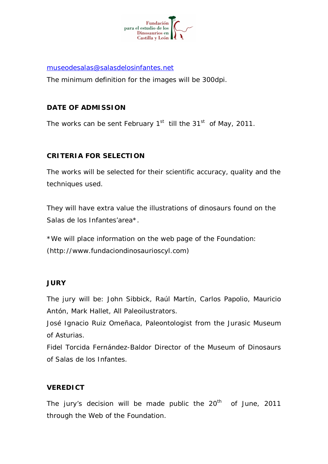

[museodesalas@salasdelosinfantes.net](mailto:museodesalas@salasdelosinfantes.net)

The minimum definition for the images will be 300dpi.

# **DATE OF ADMISSION**

The works can be sent February  $1<sup>st</sup>$  till the 31<sup>st</sup> of May, 2011.

# **CRITERIA FOR SELECTION**

The works will be selected for their scientific accuracy, quality and the techniques used.

They will have extra value the illustrations of dinosaurs found on the Salas de los Infantes'area\*.

\*We will place information on the web page of the Foundation: [\(http://www.fundaciondinosaurioscyl.com\)](http://www.fundaciondinosaurioscyl.com)

### **JURY**

The jury will be: John Sibbick, Raúl Martín, Carlos Papolio, Mauricio Antón, Mark Hallet, All Paleoilustrators.

José Ignacio Ruiz Omeñaca, Paleontologist from the Jurasic Museum of Asturias.

Fidel Torcida Fernández-Baldor Director of the Museum of Dinosaurs of Salas de los Infantes.

### **VEREDICT**

The jury's decision will be made public the  $20<sup>th</sup>$  of June, 2011 through the Web of the Foundation.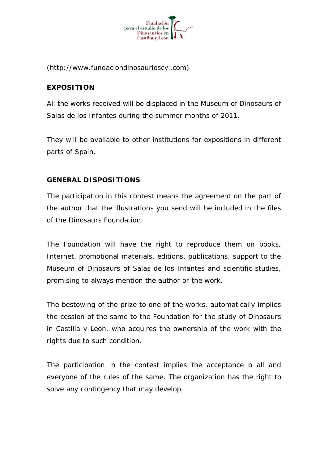

[\(http://www.fundaciondinosaurioscyl.com\)](http://www.fundaciondinosaurioscyl.com)

# **EXPOSITION**

All the works received will be displaced in the Museum of Dinosaurs of Salas de los Infantes during the summer months of 2011.

They will be available to other institutions for expositions in different parts of Spain.

# **GENERAL DISPOSITIONS**

The participation in this contest means the agreement on the part of the author that the illustrations you send will be included in the files of the Dinosaurs Foundation.

The Foundation will have the right to reproduce them on books, Internet, promotional materials, editions, publications, support to the Museum of Dinosaurs of Salas de los Infantes and scientific studies, promising to always mention the author or the work.

The bestowing of the prize to one of the works, automatically implies the cession of the same to the Foundation for the study of Dinosaurs in Castilla y León, who acquires the ownership of the work with the rights due to such condition.

The participation in the contest implies the acceptance o all and everyone of the rules of the same. The organization has the right to solve any contingency that may develop.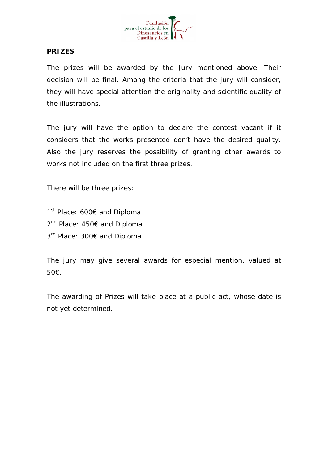

### **PRIZES**

The prizes will be awarded by the Jury mentioned above. Their decision will be final. Among the criteria that the jury will consider, they will have special attention the originality and scientific quality of the illustrations.

The jury will have the option to declare the contest vacant if it considers that the works presented don't have the desired quality. Also the jury reserves the possibility of granting other awards to works not included on the first three prizes.

There will be three prizes:

1<sup>st</sup> Place: 600€ and Diploma 2<sup>nd</sup> Place: 450€ and Diploma 3<sup>rd</sup> Place: 300€ and Diploma

The jury may give several awards for especial mention, valued at 50€.

The awarding of Prizes will take place at a public act, whose date is not yet determined.